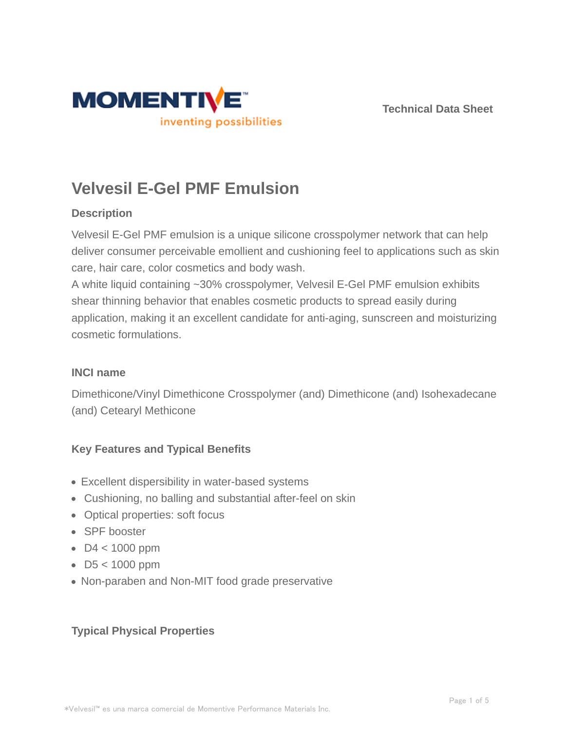



# **Velvesil E-Gel PMF Emulsion**

# **Description**

Velvesil E-Gel PMF emulsion is a unique silicone crosspolymer network that can help deliver consumer perceivable emollient and cushioning feel to applications such as skin care, hair care, color cosmetics and body wash.

A white liquid containing ~30% crosspolymer, Velvesil E-Gel PMF emulsion exhibits shear thinning behavior that enables cosmetic products to spread easily during application, making it an excellent candidate for anti-aging, sunscreen and moisturizing cosmetic formulations.

# **INCI name**

Dimethicone/Vinyl Dimethicone Crosspolymer (and) Dimethicone (and) Isohexadecane (and) Cetearyl Methicone

# **Key Features and Typical Benefits**

- Excellent dispersibility in water-based systems
- Cushioning, no balling and substantial after-feel on skin
- Optical properties: soft focus
- SPF booster
- $\bullet$  D4 < 1000 ppm
- D5 < 1000 ppm
- Non-paraben and Non-MIT food grade preservative

# **Typical Physical Properties**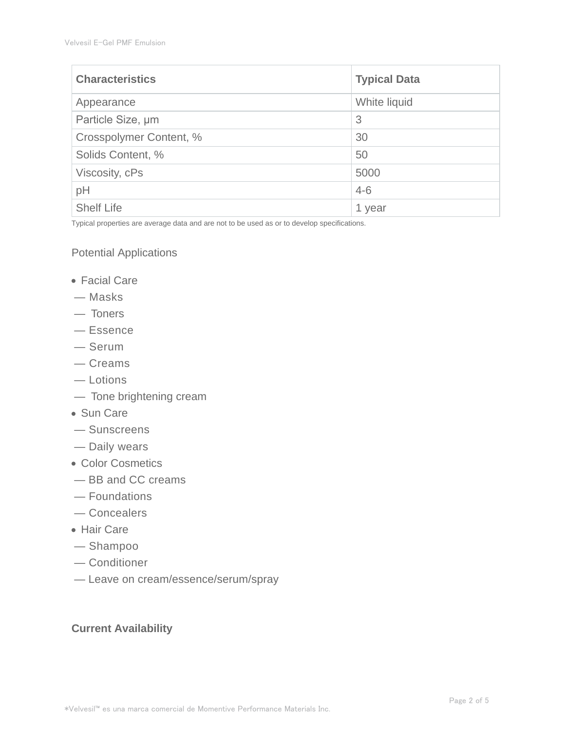| <b>Characteristics</b>  | <b>Typical Data</b> |
|-------------------------|---------------------|
| Appearance              | White liquid        |
| Particle Size, um       | 3                   |
| Crosspolymer Content, % | 30                  |
| Solids Content, %       | 50                  |
| Viscosity, cPs          | 5000                |
| pH                      | $4 - 6$             |
| <b>Shelf Life</b>       | 1 year              |

Typical properties are average data and are not to be used as or to develop specifications.

#### Potential Applications

- Facial Care
- Masks
- Toners
- Essence
- Serum
- Creams
- Lotions
- Tone brightening cream
- Sun Care
- Sunscreens
- Daily wears
- Color Cosmetics
- BB and CC creams
- Foundations
- Concealers
- Hair Care
- Shampoo
- Conditioner
- Leave on cream/essence/serum/spray

## **Current Availability**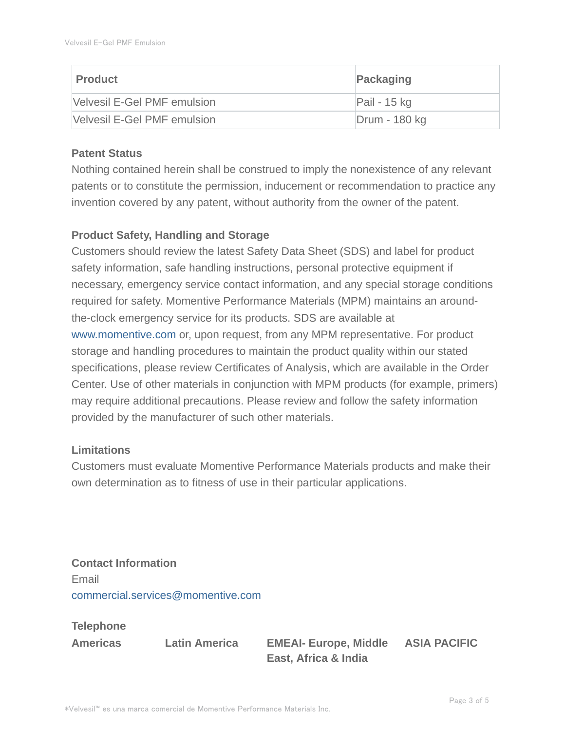| ∣ Product                   | Packaging     |
|-----------------------------|---------------|
| Velvesil E-Gel PMF emulsion | Pail - 15 kg  |
| Velvesil E-Gel PMF emulsion | Drum - 180 kg |

## **Patent Status**

Nothing contained herein shall be construed to imply the nonexistence of any relevant patents or to constitute the permission, inducement or recommendation to practice any invention covered by any patent, without authority from the owner of the patent.

## **Product Safety, Handling and Storage**

Customers should review the latest Safety Data Sheet (SDS) and label for product safety information, safe handling instructions, personal protective equipment if necessary, emergency service contact information, and any special storage conditions required for safety. Momentive Performance Materials (MPM) maintains an aroundthe-clock emergency service for its products. SDS are available at www.momentive.com or, upon request, from any MPM representative. For product storage and handling procedures to maintain the product quality within our stated specifications, please review Certificates of Analysis, which are available in the Order Center. Use of other materials in conjunction with MPM products (for example, primers) may require additional precautions. Please review and follow the safety information provided by the manufacturer of such other materials.

## **Limitations**

Customers must evaluate Momentive Performance Materials products and make their own determination as to fitness of use in their particular applications.

**Contact Information** Email commercial.services@momentive.com

# **Telephone**

**Americas Latin America EMEAI- Europe, Middle East, Africa & India**

#### **ASIA PACIFIC**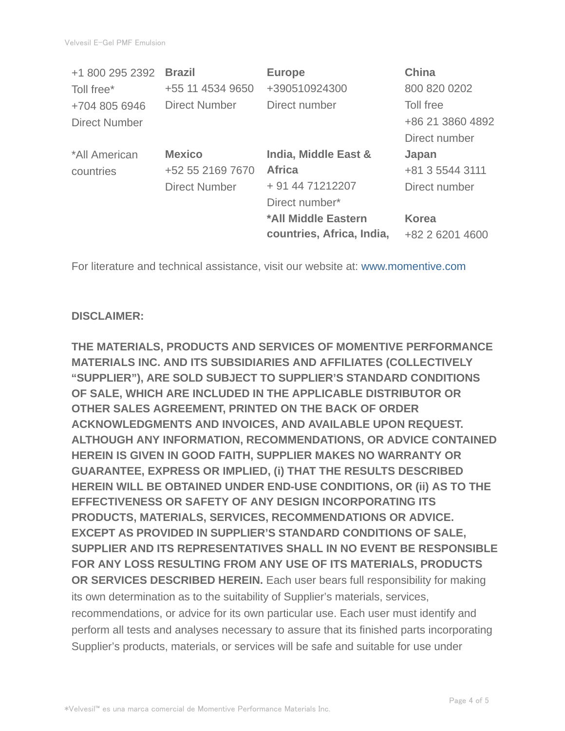| +1 800 295 2392      | <b>Brazil</b>        | <b>Europe</b>             | <b>China</b>     |
|----------------------|----------------------|---------------------------|------------------|
| Toll free*           | +55 11 4534 9650     | +390510924300             | 800 820 0202     |
| +704 805 6946        | <b>Direct Number</b> | Direct number             | Toll free        |
| <b>Direct Number</b> |                      |                           | +86 21 3860 4892 |
|                      |                      |                           | Direct number    |
| *All American        | <b>Mexico</b>        | India, Middle East &      | Japan            |
| countries            | +52 55 2169 7670     | <b>Africa</b>             | +81 3 5544 3111  |
|                      | <b>Direct Number</b> | + 91 44 71212207          | Direct number    |
|                      |                      | Direct number*            |                  |
|                      |                      | *All Middle Eastern       | <b>Korea</b>     |
|                      |                      | countries, Africa, India, | +82 2 6201 4600  |

For literature and technical assistance, visit our website at: www.momentive.com

## **DISCLAIMER:**

**THE MATERIALS, PRODUCTS AND SERVICES OF MOMENTIVE PERFORMANCE MATERIALS INC. AND ITS SUBSIDIARIES AND AFFILIATES (COLLECTIVELY "SUPPLIER"), ARE SOLD SUBJECT TO SUPPLIER'S STANDARD CONDITIONS OF SALE, WHICH ARE INCLUDED IN THE APPLICABLE DISTRIBUTOR OR OTHER SALES AGREEMENT, PRINTED ON THE BACK OF ORDER ACKNOWLEDGMENTS AND INVOICES, AND AVAILABLE UPON REQUEST. ALTHOUGH ANY INFORMATION, RECOMMENDATIONS, OR ADVICE CONTAINED HEREIN IS GIVEN IN GOOD FAITH, SUPPLIER MAKES NO WARRANTY OR GUARANTEE, EXPRESS OR IMPLIED, (i) THAT THE RESULTS DESCRIBED HEREIN WILL BE OBTAINED UNDER END-USE CONDITIONS, OR (ii) AS TO THE EFFECTIVENESS OR SAFETY OF ANY DESIGN INCORPORATING ITS PRODUCTS, MATERIALS, SERVICES, RECOMMENDATIONS OR ADVICE. EXCEPT AS PROVIDED IN SUPPLIER'S STANDARD CONDITIONS OF SALE, SUPPLIER AND ITS REPRESENTATIVES SHALL IN NO EVENT BE RESPONSIBLE FOR ANY LOSS RESULTING FROM ANY USE OF ITS MATERIALS, PRODUCTS OR SERVICES DESCRIBED HEREIN.** Each user bears full responsibility for making its own determination as to the suitability of Supplier's materials, services, recommendations, or advice for its own particular use. Each user must identify and perform all tests and analyses necessary to assure that its finished parts incorporating Supplier's products, materials, or services will be safe and suitable for use under